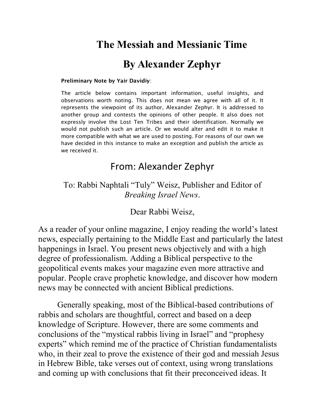## **The Messiah and Messianic Time**

## **By Alexander Zephyr**

#### **Preliminary Note by Yair Davidiy**:

The article below contains important information, useful insights, and observations worth noting. This does not mean we agree with all of it. It represents the viewpoint of its author, Alexander Zephyr. It is addressed to another group and contests the opinions of other people. It also does not expressly involve the Lost Ten Tribes and their identification. Normally we would not publish such an article. Or we would alter and edit it to make it more compatible with what we are used to posting. For reasons of our own we have decided in this instance to make an exception and publish the article as we received it.

#### From: Alexander Zephyr

To: Rabbi Naphtali "Tuly" Weisz, Publisher and Editor of *Breaking Israel News*.

Dear Rabbi Weisz,

As a reader of your online magazine, I enjoy reading the world's latest news, especially pertaining to the Middle East and particularly the latest happenings in Israel. You present news objectively and with a high degree of professionalism. Adding a Biblical perspective to the geopolitical events makes your magazine even more attractive and popular. People crave prophetic knowledge, and discover how modern news may be connected with ancient Biblical predictions.

Generally speaking, most of the Biblical-based contributions of rabbis and scholars are thoughtful, correct and based on a deep knowledge of Scripture. However, there are some comments and conclusions of the "mystical rabbis living in Israel" and "prophesy" experts" which remind me of the practice of Christian fundamentalists who, in their zeal to prove the existence of their god and messiah Jesus in Hebrew Bible, take verses out of context, using wrong translations and coming up with conclusions that fit their preconceived ideas. It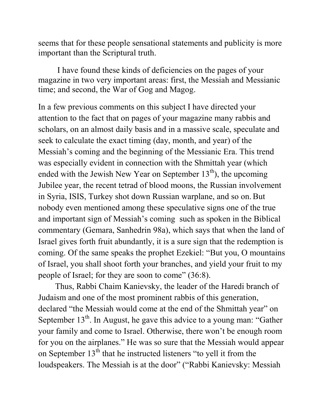seems that for these people sensational statements and publicity is more important than the Scriptural truth.

I have found these kinds of deficiencies on the pages of your magazine in two very important areas: first, the Messiah and Messianic time; and second, the War of Gog and Magog.

In a few previous comments on this subject I have directed your attention to the fact that on pages of your magazine many rabbis and scholars, on an almost daily basis and in a massive scale, speculate and seek to calculate the exact timing (day, month, and year) of the Messiah's coming and the beginning of the Messianic Era. This trend was especially evident in connection with the Shmittah year (which ended with the Jewish New Year on September  $13<sup>th</sup>$ ), the upcoming Jubilee year, the recent tetrad of blood moons, the Russian involvement in Syria, ISIS, [Turkey shot down Russian warplane,](http://r.search.yahoo.com/_ylt=A0LEVv45TXtWk1MAIgInnIlQ;_ylu=X3oDMTByOHZyb21tBGNvbG8DYmYxBHBvcwMxBHZ0aWQDBHNlYwNzcg--/RV=2/RE=1450950074/RO=10/RU=http%3a%2f%2fwww.military.com%2fdaily-news%2f2015%2f11%2f24%2fturkey-shoots-down-russian-warplane.html/RK=0/RS=etlvXtBYJ1bb_m.UJ_w2a90t6bg-) and so on.But nobody even mentioned among these speculative signs one of the true and important sign of Messiah's coming such as spoken in the Biblical commentary (Gemara, Sanhedrin 98a), which says that when the land of Israel gives forth fruit abundantly, it is a sure sign that the redemption is coming. Of the same speaks the prophet Ezekiel: "But you, O mountains" of Israel, you shall shoot forth your branches, and yield your fruit to my people of Israel; for they are soon to come"  $(36:8)$ .

 Thus, Rabbi Chaim Kanievsky, the leader of the Haredi branch of Judaism and one of the most prominent rabbis of this generation, declared "the Messiah would come at the end of the Shmittah year" on September  $13<sup>th</sup>$ . In August, he gave this advice to a young man: "Gather your family and come to Israel. Otherwise, there won't be enough room for you on the airplanes." He was so sure that the Messiah would appear on September  $13<sup>th</sup>$  that he instructed listeners "to yell it from the loudspeakers. The Messiah is at the door" ("Rabbi Kanievsky: Messiah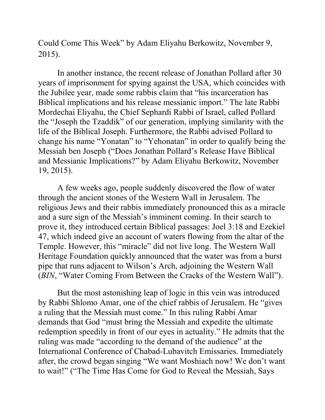Could Come This Week" by [Adam Eliyahu Berkowitz,](https://www.breakingisraelnews.com/author/adam_berkowitz/) November 9, [2015\).](https://www.breakingisraelnews.com/53387/rabbi-kanievsky-warns-friends-not-travel-because-messiah-can-come-any-moment-jewish-world/)

In another instance, the recent release of Jonathan Pollard after 30 years of imprisonment for spying against the USA, which coincides with the Jubilee year, made some rabbis claim that "his incarceration has Biblical implications and his release messianic import." The late Rabbi Mordechai Eliyahu, the Chief Sephardi Rabbi of Israel, called Pollard the "Joseph the Tzaddik" of our generation, implying similarity with the life of the Biblical Joseph. Furthermore, the Rabbi advised Pollard to change his name "Yonatan" to "Yehonatan" in order to qualify being the Messiah ben Joseph ("Does Jonathan Pollard's Release Have Biblical and Messianic Implications?" by Adam [Eliyahu Berkowitz,](https://www.breakingisraelnews.com/author/adam_berkowitz/) November [19, 2015\).](https://www.breakingisraelnews.com/54244/jonathan-pollards-release-opening-gates-redemption-jewish-world/)

A few weeks ago, people suddenly discovered the flow of water through the ancient stones of the Western Wall in Jerusalem. The religious Jews and their rabbis immediately pronounced this as a miracle and a sure sign of the Messiah's imminent coming. In their search to prove it, they introduced certain Biblical passages: Joel 3:18 and Ezekiel 47, which indeed give an account of waters flowing from the altar of the Temple. However, this "miracle" did not live long. The Western Wall Heritage Foundation quickly announced that the water was from a burst pipe that runs adjacent to Wilson's Arch, adjoining the Western Wall (*BIN*, "Water Coming From Between the Cracks of the Western Wall").

But the most astonishing leap of logic in this vein was introduced by Rabbi Shlomo Amar, one of the chief rabbis of Jerusalem. He "gives" a ruling that the Messiah must come." In this ruling Rabbi Amar demands that God "must bring the Messiah and expedite the ultimate redemption speedily in front of our eyes in actuality." He admits that the ruling was made "according to the demand of the audience" at the International Conference of Chabad-Lubavitch Emissaries. Immediately after, the crowd began singing "We want Moshiach now! We don't want to wait!" ("The Time Has Come for God to Reveal the Messiah, Says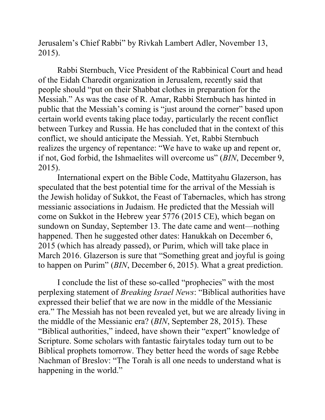Jerusalem's Chief Rabbi" by Rivkah Lambert Adler, November 13, 2015).

Rabbi Sternbuch, Vice President of the Rabbinical Court and head of the Eidah Charedit organization in Jerusalem, recently said that people should "put on their Shabbat clothes in preparation for the Messiah." As was the case of R. Amar, Rabbi Sternbuch has hinted in public that the Messiah's coming is "just around the corner" based upon certain world events taking place today, particularly the recent conflict between Turkey and Russia. He has concluded that in the context of this conflict, we should anticipate the Messiah. Yet, Rabbi Sternbuch realizes the urgency of repentance: "We have to wake up and repent or, if not, God forbid, the Ishmaelites will overcome us" (*BIN*, December 9, 2015).

International expert on the Bible Code, Mattityahu Glazerson, has speculated that the best potential time for the arrival of the Messiah is the Jewish holiday of Sukkot, the Feast of Tabernacles, which has strong messianic associations in Judaism. He predicted that the Messiah will come on Sukkot in the Hebrew year 5776 (2015 CE), which began on sundown on Sunday, September 13. The date came and went—nothing happened. Then he suggested other dates: Hanukkah on December 6, 2015 (which has already passed), or Purim, which will take place in March 2016. Glazerson is sure that "Something great and joyful is going to happen on Purim" *(BIN*, December 6, 2015). What a great prediction.

I conclude the list of these so-called "prophecies" with the most perplexing statement of *Breaking Israel News*: "Biblical authorities have expressed their belief that we are now in the middle of the Messianic era.‖ The Messiah has not been revealed yet, but we are already living in the middle of the Messianic era? (*BIN*, September 28, 2015). These "Biblical authorities," indeed, have shown their "expert" knowledge of Scripture. Some scholars with fantastic fairytales today turn out to be Biblical prophets tomorrow. They better heed the words of sage Rebbe Nachman of Breslov: "The Torah is all one needs to understand what is happening in the world."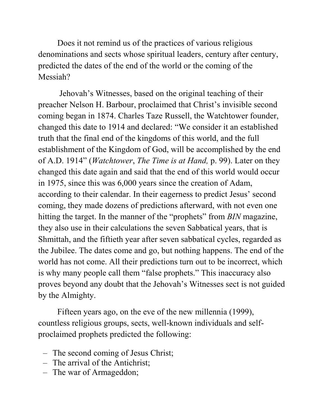Does it not remind us of the practices of various religious denominations and sects whose spiritual leaders, century after century, predicted the dates of the end of the world or the coming of the Messiah?

Jehovah's Witnesses, based on the original teaching of their preacher Nelson H. Barbour, proclaimed that Christ's invisible second coming began in 1874. Charles Taze Russell, the Watchtower founder, changed this date to 1914 and declared: "We consider it an established truth that the final end of the kingdoms of this world, and the full establishment of the Kingdom of God, will be accomplished by the end of A.D. 1914‖ (*Watchtower*, *The Time is at Hand,* p. 99). Later on they changed this date again and said that the end of this world would occur in 1975, since this was 6,000 years since the creation of Adam, according to their calendar. In their eagerness to predict Jesus' second coming, they made dozens of predictions afterward, with not even one hitting the target. In the manner of the "prophets" from *BIN* magazine, they also use in their calculations the seven Sabbatical years, that is Shmittah, and the fiftieth year after seven sabbatical cycles, regarded as the Jubilee. The dates come and go, but nothing happens. The end of the world has not come. All their predictions turn out to be incorrect, which is why many people call them "false prophets." This inaccuracy also proves beyond any doubt that the Jehovah's Witnesses sect is not guided by the Almighty.

Fifteen years ago, on the eve of the new millennia (1999), countless religious groups, sects, well-known individuals and selfproclaimed prophets predicted the following:

- The second coming of Jesus Christ;
- The arrival of the Antichrist;
- The war of Armageddon;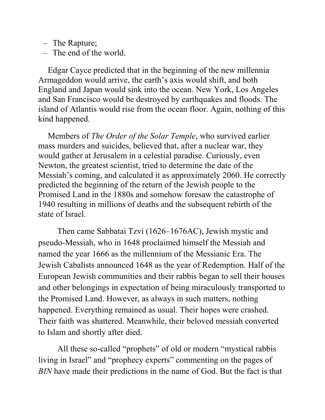- The Rapture;
- The end of the world.

Edgar Cayce predicted that in the beginning of the new millennia Armageddon would arrive, the earth's axis would shift, and both England and Japan would sink into the ocean. New York, Los Angeles and San Francisco would be destroyed by earthquakes and floods. The island of Atlantis would rise from the ocean floor. Again, nothing of this kind happened.

Members of *The Order of the Solar Temple*, who survived earlier mass murders and suicides, believed that, after a nuclear war, they would gather at Jerusalem in a celestial paradise. Curiously, even Newton, the greatest scientist, tried to determine the date of the Messiah's coming, and calculated it as approximately 2060. He correctly predicted the beginning of the return of the Jewish people to the Promised Land in the 1880s and somehow foresaw the catastrophe of 1940 resulting in millions of deaths and the subsequent rebirth of the state of Israel.

Then came Sabbatai Tzvi (1626–1676AC), Jewish mystic and pseudo-Messiah, who in 1648 proclaimed himself the Messiah and named the year 1666 as the millennium of the Messianic Era. The Jewish Cabalists announced 1648 as the year of Redemption. Half of the European Jewish communities and their rabbis began to sell their houses and other belongings in expectation of being miraculously transported to the Promised Land. However, as always in such matters, nothing happened. Everything remained as usual. Their hopes were crashed. Their faith was shattered. Meanwhile, their beloved messiah converted to Islam and shortly after died.

All these so-called "prophets" of old or modern "mystical rabbis" living in Israel" and "prophecy experts" commenting on the pages of *BIN* have made their predictions in the name of God. But the fact is that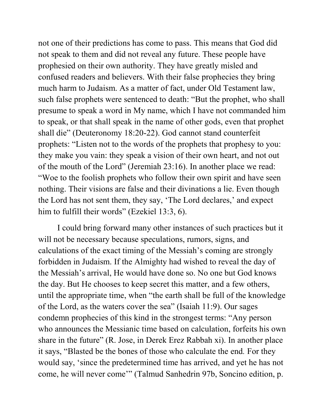not one of their predictions has come to pass. This means that God did not speak to them and did not reveal any future. These people have prophesied on their own authority. They have greatly misled and confused readers and believers. With their false prophecies they bring much harm to Judaism. As a matter of fact, under Old Testament law, such false prophets were sentenced to death: "But the prophet, who shall presume to speak a word in My name, which I have not commanded him to speak, or that shall speak in the name of other gods, even that prophet shall die" (Deuteronomy 18:20-22). God cannot stand counterfeit prophets: "Listen not to the words of the prophets that prophesy to you: they make you vain: they speak a vision of their own heart, and not out of the mouth of the Lord" (Jeremiah 23:16). In another place we read: ―Woe to the foolish prophets who follow their own spirit and have seen nothing. Their visions are false and their divinations a lie. Even though the Lord has not sent them, they say, 'The Lord declares,' and expect him to fulfill their words" (Ezekiel  $13:3, 6$ ).

I could bring forward many other instances of such practices but it will not be necessary because speculations, rumors, signs, and calculations of the exact timing of the Messiah's coming are strongly forbidden in Judaism. If the Almighty had wished to reveal the day of the Messiah's arrival, He would have done so. No one but God knows the day. But He chooses to keep secret this matter, and a few others, until the appropriate time, when "the earth shall be full of the knowledge of the Lord, as the waters cover the sea" (Isaiah 11:9). Our sages condemn prophecies of this kind in the strongest terms: "Any person who announces the Messianic time based on calculation, forfeits his own share in the future" (R. Jose, in Derek Erez Rabbah xi). In another place it says, "Blasted be the bones of those who calculate the end. For they would say, ‗since the predetermined time has arrived, and yet he has not come, he will never come'" (Talmud Sanhedrin 97b, Soncino edition, p.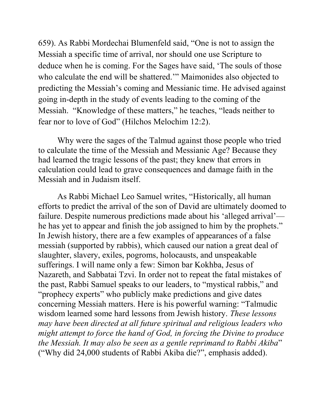659). As Rabbi Mordechai Blumenfeld said, "One is not to assign the Messiah a specific time of arrival, nor should one use Scripture to deduce when he is coming. For the Sages have said, 'The souls of those who calculate the end will be shattered." Maimonides also objected to predicting the Messiah's coming and Messianic time. He advised against going in-depth in the study of events leading to the coming of the Messiah. "Knowledge of these matters," he teaches, "leads neither to fear nor to love of God" (Hilchos Melochim 12:2).

Why were the sages of the Talmud against those people who tried to calculate the time of the Messiah and Messianic Age? Because they had learned the tragic lessons of the past; they knew that errors in calculation could lead to grave consequences and damage faith in the Messiah and in Judaism itself.

As Rabbi Michael Leo Samuel writes, "Historically, all human efforts to predict the arrival of the son of David are ultimately doomed to failure. Despite numerous predictions made about his 'alleged arrival' he has yet to appear and finish the job assigned to him by the prophets." In Jewish history, there are a few examples of appearances of a false messiah (supported by rabbis), which caused our nation a great deal of slaughter, slavery, exiles, pogroms, holocausts, and unspeakable sufferings. I will name only a few: Simon bar Kokhba, Jesus of Nazareth, and Sabbatai Tzvi. In order not to repeat the fatal mistakes of the past, Rabbi Samuel speaks to our leaders, to "mystical rabbis," and "prophecy experts" who publicly make predictions and give dates concerning Messiah matters. Here is his powerful warning: "Talmudic wisdom learned some hard lessons from Jewish history. *These lessons may have been directed at all future spiritual and religious leaders who might attempt to force the hand of God, in forcing the Divine to produce the Messiah. It may also be seen as a gentle reprimand to Rabbi Akiba*" (―Why did 24,000 students of Rabbi Akiba die?‖, emphasis added).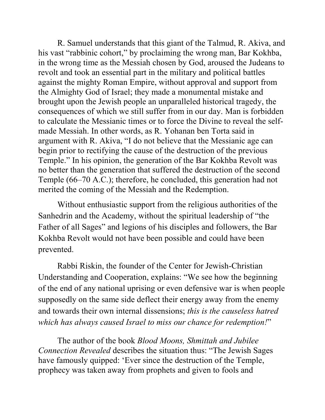R. Samuel understands that this giant of the Talmud, R. Akiva, and his vast "rabbinic cohort," by proclaiming the wrong man, Bar Kokhba, in the wrong time as the Messiah chosen by God, aroused the Judeans to revolt and took an essential part in the military and political battles against the mighty Roman Empire, without approval and support from the Almighty God of Israel; they made a monumental mistake and brought upon the Jewish people an unparalleled historical tragedy, the consequences of which we still suffer from in our day. Man is forbidden to calculate the Messianic times or to force the Divine to reveal the selfmade Messiah. In other words, as R. Yohanan ben Torta said in argument with R. Akiva, "I do not believe that the Messianic age can begin prior to rectifying the cause of the destruction of the previous Temple." In his opinion, the generation of the Bar Kokhba Revolt was no better than the generation that suffered the destruction of the second Temple (66–70 A.C.); therefore, he concluded, this generation had not merited the coming of the Messiah and the Redemption.

Without enthusiastic support from the religious authorities of the Sanhedrin and the Academy, without the spiritual leadership of "the Father of all Sages" and legions of his disciples and followers, the Bar Kokhba Revolt would not have been possible and could have been prevented.

Rabbi Riskin, the founder of the Center for Jewish-Christian Understanding and Cooperation, explains: "We see how the beginning of the end of any national uprising or even defensive war is when people supposedly on the same side deflect their energy away from the enemy and towards their own internal dissensions; *this is the causeless hatred*  which has always caused Israel to miss our chance for redemption!"

The author of the book *Blood Moons, Shmittah and Jubilee Connection Revealed* describes the situation thus: "The Jewish Sages" have famously quipped: 'Ever since the destruction of the Temple, prophecy was taken away from prophets and given to fools and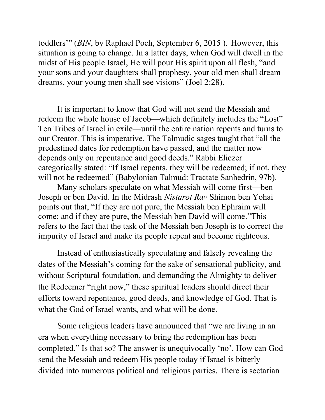toddlers'" (*BIN*, by [Raphael Poch,](https://www.breakingisraelnews.com/author/raphael_poch/) September 6, 2015). However, this situation is going to change. In a latter days, when God will dwell in the midst of His people Israel, He will pour His spirit upon all flesh, "and your sons and your daughters shall prophesy, your old men shall dream dreams, your young men shall see visions" (Joel 2:28).

It is important to know that God will not send the Messiah and redeem the whole house of Jacob—which definitely includes the "Lost" Ten Tribes of Israel in exile—until the entire nation repents and turns to our Creator. This is imperative. The Talmudic sages taught that "all the predestined dates for redemption have passed, and the matter now depends only on repentance and good deeds." Rabbi Eliezer categorically stated: "If Israel repents, they will be redeemed; if not, they will not be redeemed" (Babylonian Talmud: Tractate Sanhedrin, 97b).

Many scholars speculate on what Messiah will come first—ben Joseph or ben David. In the Midrash *Nistarot Rav* Shimon ben Yohai points out that, "If they are not pure, the Messiah ben Ephraim will come; and if they are pure, the Messiah ben David will come."This refers to the fact that the task of the Messiah ben Joseph is to correct the impurity of Israel and make its people repent and become righteous.

Instead of enthusiastically speculating and falsely revealing the dates of the Messiah's coming for the sake of sensational publicity, and without Scriptural foundation, and demanding the Almighty to deliver the Redeemer "right now," these spiritual leaders should direct their efforts toward repentance, good deeds, and knowledge of God. That is what the God of Israel wants, and what will be done.

Some religious leaders have announced that "we are living in an era when everything necessary to bring the redemption has been completed." Is that so? The answer is unequivocally 'no'. How can God send the Messiah and redeem His people today if Israel is bitterly divided into numerous political and religious parties. There is sectarian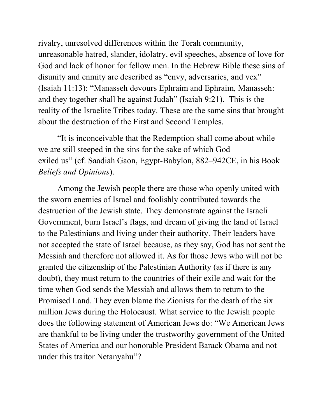rivalry, unresolved differences within the Torah community, unreasonable hatred, slander, idolatry, evil speeches, absence of love for God and lack of honor for fellow men. In the Hebrew Bible these sins of disunity and enmity are described as "envy, adversaries, and vex" (Isaiah 11:13): "Manasseh devours Ephraim and Ephraim, Manasseh: and they together shall be against Judah" (Isaiah 9:21). This is the reality of the Israelite Tribes today. These are the same sins that brought about the destruction of the First and Second Temples.

"It is inconceivable that the Redemption shall come about while we are still steeped in the sins for the sake of which God exiled us" (cf. Saadiah Gaon, Egypt-Babylon, 882–942CE, in his Book *Beliefs and Opinions*).

Among the Jewish people there are those who openly united with the sworn enemies of Israel and foolishly contributed towards the destruction of the Jewish state. They demonstrate against the Israeli Government, burn Israel's flags, and dream of giving the land of Israel to the Palestinians and living under their authority. Their leaders have not accepted the state of Israel because, as they say, God has not sent the Messiah and therefore not allowed it. As for those Jews who will not be granted the citizenship of the Palestinian Authority (as if there is any doubt), they must return to the countries of their exile and wait for the time when God sends the Messiah and allows them to return to the Promised Land. They even blame the Zionists for the death of the six million Jews during the Holocaust. What service to the Jewish people does the following statement of American Jews do: "We American Jews are thankful to be living under the trustworthy government of the United States of America and our honorable President Barack Obama and not under this traitor Netanyahu"?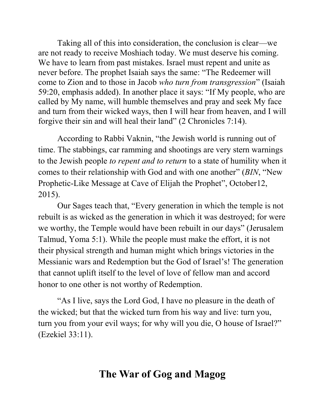Taking all of this into consideration, the conclusion is clear—we are not ready to receive Moshiach today. We must deserve his coming. We have to learn from past mistakes. Israel must repent and unite as never before. The prophet Isaiah says the same: "The Redeemer will come to Zion and to those in Jacob *who turn from transgression*" (Isaiah 59:20, emphasis added). In another place it says: "If My people, who are called by My name, will humble themselves and pray and seek My face and turn from their wicked ways, then I will hear from heaven, and I will forgive their sin and will heal their land" (2 Chronicles 7:14).

According to Rabbi Vaknin, "the Jewish world is running out of time. The stabbings, car ramming and shootings are very stern warnings to the Jewish people *to repent and to return* to a state of humility when it comes to their relationship with God and with one another" (*BIN*, "New Prophetic-Like Message at Cave of Elijah the Prophet", October 12, 2015).

Our Sages teach that, "Every generation in which the temple is not rebuilt is as wicked as the generation in which it was destroyed; for were we worthy, the Temple would have been rebuilt in our days" (Jerusalem Talmud, Yoma 5:1). While the people must make the effort, it is not their physical strength and human might which brings victories in the Messianic wars and Redemption but the God of Israel's! The generation that cannot uplift itself to the level of love of fellow man and accord honor to one other is not worthy of Redemption.

"As I live, says the Lord God, I have no pleasure in the death of the wicked; but that the wicked turn from his way and live: turn you, turn you from your evil ways; for why will you die, O house of Israel?" (Ezekiel 33:11).

# **The War of Gog and Magog**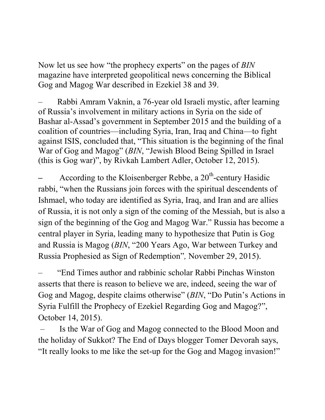Now let us see how "the prophecy experts" on the pages of *BIN* magazine have interpreted geopolitical news concerning the Biblical Gog and Magog War described in Ezekiel 38 and 39.

– Rabbi Amram Vaknin, a 76-year old Israeli mystic, after learning of Russia's involvement in military actions in Syria on the side of Bashar al-Assad's government in September 2015 and the building of a coalition of countries—including Syria, Iran, Iraq and China—to fight against ISIS, concluded that, "This situation is the beginning of the final War of Gog and Magog" (*BIN*, "Jewish Blood Being Spilled in Israel (this is Gog war)", by [Rivkah Lambert Adler,](http://www.breakingisraelnews.com/author/rivkahadler/) [October 12, 2015\).](http://www.breakingisraelnews.com/50922/mystical-rabbi-receives-frightening-prophetic-message-jewish-blood-being-spilled-jewish-world/)

- According to the Kloisenberger Rebbe, a 20<sup>th</sup>-century Hasidic rabbi, "when the Russians join forces with the spiritual descendents of Ishmael, who today are identified as Syria, Iraq, and Iran and are allies of Russia, it is not only a sign of the coming of the Messiah, but is also a sign of the beginning of the Gog and Magog War." Russia has become a central player in Syria, leading many to hypothesize that [Putin is Gog](https://www.breakingisraelnews.com/51078/do-putins-actions-in-syria-fulfill-the-prophecy-of-ezekiel-regarding-gog-and-magog-middle-east)  [and Russia is Magog](https://www.breakingisraelnews.com/51078/do-putins-actions-in-syria-fulfill-the-prophecy-of-ezekiel-regarding-gog-and-magog-middle-east) (*BIN*, "200 Years Ago, War between Turkey and Russia Prophesied as Sign of Redemption<sup>7</sup>, November 29, 2015).

"End Times author and rabbinic scholar [Rabbi Pinchas Winston](https://israel365.com/?s=winston) asserts that there is reason to believe we are, indeed, seeing the war of Gog and Magog, despite [claims](http://www.breakingisraelnews.com/50649/hassidic-rabbi-reveals-god-sweetened-judgementon-israel-by-moving-war-gog-magog-syria-jewish-world/) otherwise" (*BIN*, "Do Putin's Actions in Syria Fulfill the Prophecy of Ezekiel Regarding Gog and Magog?", October 14, 2015).

– Is the War of Gog and Magog connected to the Blood Moon and the holiday of Sukkot? The End of Days blogger Tomer Devorah [says,](http://palmtreeofdeborah.blogspot.co.il/2015/09/are-we-being-surrounded.html) "It really looks to me like the set-up for the Gog and Magog invasion!"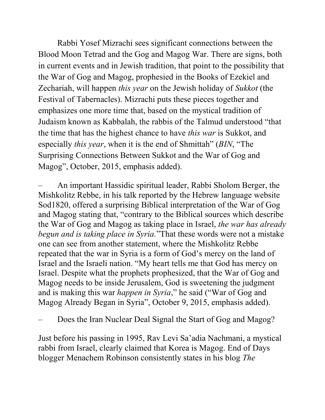Rabbi Yosef Mizrachi sees significant connections between the Blood Moon Tetrad and the Gog and Magog War. There are signs, both in current events and in Jewish tradition, that point to the possibility that the War of Gog and Magog, prophesied in the Books of Ezekiel and Zechariah, will happen *this year* on the Jewish holiday of *Sukkot* (the Festival of Tabernacles). Mizrachi puts these pieces together and emphasizes one more time that, based on the mystical tradition of Judaism known as Kabbalah, the rabbis of the Talmud understood "that the time that has the highest chance to have *this war* is [Sukkot,](http://www.breakingisraelnews.com/49689/messiah-will-come-on-sukkot-new-bible-codes-suggest-jewish-world/) and especially *this year*, when it is the end of [Shmittah](http://www.breakingisraelnews.com/48068/shmittah-market-trends-point-to-really-bad-crash-in-september/)" (*BIN*, "The Surprising Connections Between Sukkot and the War of Gog and Magog", October, 2015, emphasis added).

– An important Hassidic spiritual leader, Rabbi Sholom Berger, the Mishkolitz Rebbe, in his talk reported by the Hebrew language website [Sod1820,](http://sod1820.co.il/#gs.7Xp=930) offered a surprising Biblical interpretation of the War of Gog and Magog stating that, "contrary to the Biblical sources which describe the War of Gog and Magog as taking place in Israel, *the war has already begun and is taking place in Syria.*"That these words were not a mistake one can see from another statement, where the Mishkolitz Rebbe repeated that the war in Syria is a form of God's mercy on the land of Israel and the Israeli nation. "My heart tells me that God has mercy on Israel. Despite what the prophets prophesized, that the War of Gog and Magog needs to be inside Jerusalem, God is sweetening the judgment and is making this war *[happen in Syria](http://www.breakingisraelnews.com/49215/new-bible-code-reveals-messianic-implications-of-iranian-russian-and-syrian-partnership-middle-east/)*," he said ("War of Gog and Magog Already Began in Syria", October 9, 2015, emphasis added).

– Does the Iran Nuclear Deal Signal the Start of Gog and Magog?

Just before his passing in 1995, Rav Levi Sa'adia Nachmani, a mystical rabbi from Israel, clearly claimed that Korea is Magog. End of Days blogger Menachem Robinson consistently states in his blog *[The](http://absolutetruth613.blogspot.co.il/)*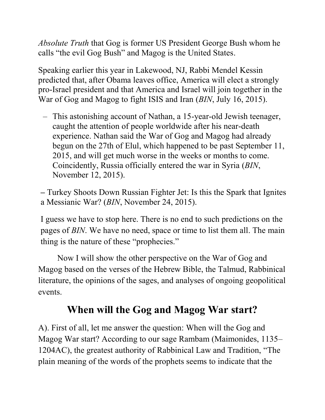*[Absolute Truth](http://absolutetruth613.blogspot.co.il/)* that Gog is former US President George Bush whom he calls "the evil Gog Bush" and Magog is the United States.

Speaking earlier this year in Lakewood, NJ, [Rabbi Mendel Kessin](http://torahthinking.com/1057/r-mendel-kessin-footsteps-of-mashiach-4182015/)  [predicted](http://torahthinking.com/1057/r-mendel-kessin-footsteps-of-mashiach-4182015/) that, after Obama leaves office, America will elect a strongly pro-Israel president and that America and Israel will join together in the War of Gog and Magog to fight ISIS and Iran (*BIN*, [July 16, 2015\).](http://www.breakingisraelnews.com/45260/iran-nuclear-deal-signal-start-gog-magog-jewish-world/)

– This astonishing account of Nathan, a 15-year-old Jewish teenager, caught the attention of people worldwide after his near-death experience. Nathan said the [War of Gog and Magog](https://www.breakingisraelnews.com/52225/75-year-old-vision-predicted-russias-role-syrian-conflict-final-war-gog-magog-jewish-world/) had already begun on the 27th of Elul, which happened to be past September 11, 2015, and will get much worse in the weeks or months to come. Coincidently, Russia officially entered the war in Syria (*BIN*, November 12, 2015).

**–** Turkey Shoots Down Russian Fighter Jet: Is this the Spark that Ignites a Messianic War? (*BIN*, November 24, 2015).

I guess we have to stop here. There is no end to such predictions on the pages of *BIN*. We have no need, space or time to list them all. The main thing is the nature of these "prophecies."

Now I will show the other perspective on the War of Gog and Magog based on the verses of the Hebrew Bible, the Talmud, Rabbinical literature, the opinions of the sages, and analyses of ongoing geopolitical events.

# **When will the Gog and Magog War start?**

A). First of all, let me answer the question: When will the Gog and Magog War start? According to our sage Rambam (Maimonides, 1135– 1204AC), the greatest authority of Rabbinical Law and Tradition, "The plain meaning of the words of the prophets seems to indicate that the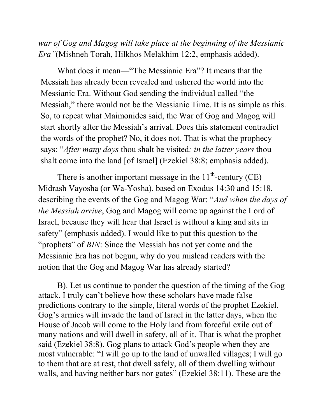*war of Gog and Magog will take place at the beginning of the Messianic Era"*(Mishneh Torah, Hilkhos Melakhim 12:2, emphasis added).

What does it mean—"The Messianic Era"? It means that the Messiah has already been revealed and ushered the world into the Messianic Era. Without God sending the individual called "the Messiah," there would not be the Messianic Time. It is as simple as this. So, to repeat what Maimonides said, the War of Gog and Magog will start shortly after the Messiah's arrival. Does this statement contradict the words of the prophet? No, it does not. That is what the prophecy says: "*After many days* thou shalt be visited: *in the latter years* thou shalt come into the land [of Israel] (Ezekiel 38:8; emphasis added).

There is another important message in the  $11<sup>th</sup>$ -century (CE) Midrash Vayosha (or Wa-Yosha), based on Exodus 14:30 and 15:18, describing the events of the Gog and Magog War: "*And when the days of the Messiah arrive*, Gog and Magog will come up against the Lord of Israel, because they will hear that Israel is without a king and sits in safety" (emphasis added). I would like to put this question to the "prophets" of *BIN*: Since the Messiah has not yet come and the Messianic Era has not begun, why do you mislead readers with the notion that the Gog and Magog War has already started?

B). Let us continue to ponder the question of the timing of the Gog attack. I truly can't believe how these scholars have made false predictions contrary to the simple, literal words of the prophet Ezekiel. Gog's armies will invade the land of Israel in the latter days, when the House of Jacob will come to the Holy land from forceful exile out of many nations and will dwell in safety, all of it. That is what the prophet said (Ezekiel 38:8). Gog plans to attack God's people when they are most vulnerable: "I will go up to the land of unwalled villages; I will go to them that are at rest, that dwell safely, all of them dwelling without walls, and having neither bars nor gates" (Ezekiel 38:11). These are the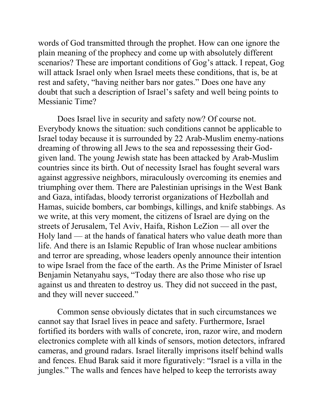words of God transmitted through the prophet. How can one ignore the plain meaning of the prophecy and come up with absolutely different scenarios? These are important conditions of Gog's attack. I repeat, Gog will attack Israel only when Israel meets these conditions, that is, be at rest and safety, "having neither bars nor gates." Does one have any doubt that such a description of Israel's safety and well being points to Messianic Time?

Does Israel live in security and safety now? Of course not. Everybody knows the situation: such conditions cannot be applicable to Israel today because it is surrounded by 22 Arab-Muslim enemy-nations dreaming of throwing all Jews to the sea and repossessing their Godgiven land. The young Jewish state has been attacked by Arab-Muslim countries since its birth. Out of necessity Israel has fought several wars against aggressive neighbors, miraculously overcoming its enemies and triumphing over them. There are Palestinian uprisings in the West Bank and Gaza, intifadas, bloody terrorist organizations of Hezbollah and Hamas, suicide bombers, car bombings, killings, and knife stabbings. As we write, at this very moment, the citizens of Israel are dying on the streets of Jerusalem, Tel Aviv, Haifa, Rishon LeZion — all over the Holy land — at the hands of fanatical haters who value death more than life. And there is an Islamic Republic of Iran whose nuclear ambitions and terror are spreading, whose leaders openly announce their intention to wipe Israel from the face of the earth. As the Prime Minister of Israel Benjamin Netanyahu says, "Today there are also those who rise up against us and threaten to destroy us. They did not succeed in the past, and they will never succeed."

Common sense obviously dictates that in such circumstances we cannot say that Israel lives in peace and safety. Furthermore, Israel fortified its borders with walls of concrete, iron, razor wire, and modern electronics complete with all kinds of sensors, motion detectors, infrared cameras, and ground radars. Israel literally imprisons itself behind walls and fences. Ehud Barak said it more figuratively: "Israel is a villa in the jungles." The walls and fences have helped to keep the terrorists away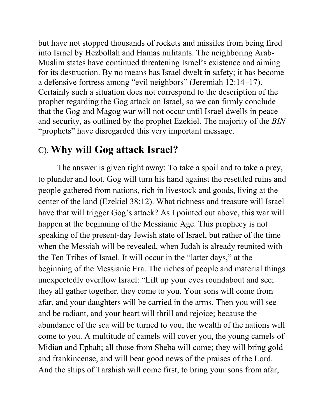but have not stopped thousands of rockets and missiles from being fired into Israel by Hezbollah and Hamas militants. The neighboring Arab-Muslim states have continued threatening Israel's existence and aiming for its destruction. By no means has Israel dwelt in safety; it has become a defensive fortress among "evil neighbors" (Jeremiah  $12:14-17$ ). Certainly such a situation does not correspond to the description of the prophet regarding the Gog attack on Israel, so we can firmly conclude that the Gog and Magog war will not occur until Israel dwells in peace and security, as outlined by the prophet Ezekiel. The majority of the *BIN* "prophets" have disregarded this very important message.

#### C). **Why will Gog attack Israel?**

The answer is given right away: To take a spoil and to take a prey, to plunder and loot. Gog will turn his hand against the resettled ruins and people gathered from nations, rich in livestock and goods, living at the center of the land (Ezekiel 38:12). What richness and treasure will Israel have that will trigger Gog's attack? As I pointed out above, this war will happen at the beginning of the Messianic Age. This prophecy is not speaking of the present-day Jewish state of Israel, but rather of the time when the Messiah will be revealed, when Judah is already reunited with the Ten Tribes of Israel. It will occur in the "latter days," at the beginning of the Messianic Era. The riches of people and material things unexpectedly overflow Israel: "Lift up your eyes roundabout and see; they all gather together, they come to you. Your sons will come from afar, and your daughters will be carried in the arms. Then you will see and be radiant, and your heart will thrill and rejoice; because the abundance of the sea will be turned to you, the wealth of the nations will come to you. A multitude of camels will cover you, the young camels of Midian and Ephah; all those from Sheba will come; they will bring gold and frankincense, and will bear good news of the praises of the Lord. And the ships of Tarshish will come first, to bring your sons from afar,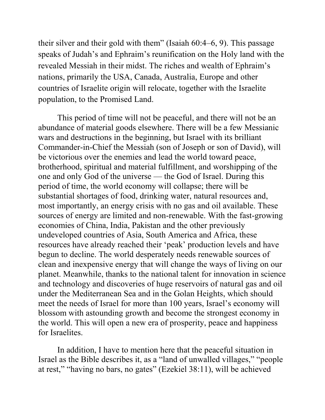their silver and their gold with them" (Isaiah  $60:4-6, 9$ ). This passage speaks of Judah's and Ephraim's reunification on the Holy land with the revealed Messiah in their midst. The riches and wealth of Ephraim's nations, primarily the USA, Canada, Australia, Europe and other countries of Israelite origin will relocate, together with the Israelite population, to the Promised Land.

This period of time will not be peaceful, and there will not be an abundance of material goods elsewhere. There will be a few Messianic wars and destructions in the beginning, but Israel with its brilliant Commander-in-Chief the Messiah (son of Joseph or son of David), will be victorious over the enemies and lead the world toward peace, brotherhood, spiritual and material fulfillment, and worshipping of the one and only God of the universe — the God of Israel. During this period of time, the world economy will collapse; there will be substantial shortages of food, drinking water, natural resources and, most importantly, an energy crisis with no gas and oil available. These sources of energy are limited and non-renewable. With the fast-growing economies of China, India, Pakistan and the other previously undeveloped countries of Asia, South America and Africa, these resources have already reached their 'peak' production levels and have begun to decline. The world desperately needs renewable sources of clean and inexpensive energy that will change the ways of living on our planet. Meanwhile, thanks to the national talent for innovation in science and technology and discoveries of huge reservoirs of natural gas and oil under the Mediterranean Sea and in the Golan Heights, which should meet the needs of Israel for more than 100 years, Israel's economy will blossom with astounding growth and become the strongest economy in the world. This will open a new era of prosperity, peace and happiness for Israelites.

In addition, I have to mention here that the peaceful situation in Israel as the Bible describes it, as a "land of unwalled villages," "people at rest," "having no bars, no gates" (Ezekiel 38:11), will be achieved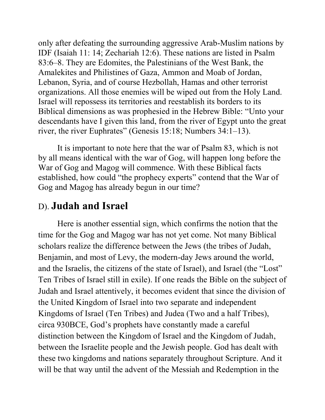only after defeating the surrounding aggressive Arab-Muslim nations by IDF (Isaiah 11: 14; Zechariah 12:6). These nations are listed in Psalm 83:6–8. They are Edomites, the Palestinians of the West Bank, the Amalekites and Philistines of Gaza, Ammon and Moab of Jordan, Lebanon, Syria, and of course Hezbollah, Hamas and other terrorist organizations. All those enemies will be wiped out from the Holy Land. Israel will repossess its territories and reestablish its borders to its Biblical dimensions as was prophesied in the Hebrew Bible: "Unto your descendants have I given this land, from the river of Egypt unto the great river, the river Euphrates" (Genesis 15:18; Numbers  $34:1-13$ ).

It is important to note here that the war of Psalm 83, which is not by all means identical with the war of Gog, will happen long before the War of Gog and Magog will commence. With these Biblical facts established, how could "the prophecy experts" contend that the War of Gog and Magog has already begun in our time?

#### D). **Judah and Israel**

Here is another essential sign, which confirms the notion that the time for the Gog and Magog war has not yet come. Not many Biblical scholars realize the difference between the Jews (the tribes of Judah, Benjamin, and most of Levy, the modern-day Jews around the world, and the Israelis, the citizens of the state of Israel), and Israel (the "Lost" Ten Tribes of Israel still in exile). If one reads the Bible on the subject of Judah and Israel attentively, it becomes evident that since the division of the United Kingdom of Israel into two separate and independent Kingdoms of Israel (Ten Tribes) and Judea (Two and a half Tribes), circa 930BCE, God's prophets have constantly made a careful distinction between the Kingdom of Israel and the Kingdom of Judah, between the Israelite people and the Jewish people. God has dealt with these two kingdoms and nations separately throughout Scripture. And it will be that way until the advent of the Messiah and Redemption in the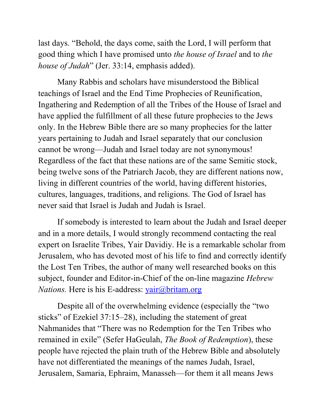last days. "Behold, the days come, saith the Lord, I will perform that good thing which I have promised unto *the house of Israel* and to *the house of Judah*" (Jer. 33:14, emphasis added).

Many Rabbis and scholars have misunderstood the Biblical teachings of Israel and the End Time Prophecies of Reunification, Ingathering and Redemption of all the Tribes of the House of Israel and have applied the fulfillment of all these future prophecies to the Jews only. In the Hebrew Bible there are so many prophecies for the latter years pertaining to Judah and Israel separately that our conclusion cannot be wrong—Judah and Israel today are not synonymous! Regardless of the fact that these nations are of the same Semitic stock, being twelve sons of the Patriarch Jacob, they are different nations now, living in different countries of the world, having different histories, cultures, languages, traditions, and religions. The God of Israel has never said that Israel is Judah and Judah is Israel.

If somebody is interested to learn about the Judah and Israel deeper and in a more details, I would strongly recommend contacting the real expert on Israelite Tribes, Yair Davidiy. He is a remarkable scholar from Jerusalem, who has devoted most of his life to find and correctly identify the Lost Ten Tribes, the author of many well researched books on this subject, founder and Editor-in-Chief of the on-line magazine *Hebrew Nations.* Here is his E-address: [yair@britam.org](mailto:yair@britam.org)

Despite all of the overwhelming evidence (especially the "two sticks" of Ezekiel 37:15–28), including the statement of great Nahmanides that "There was no Redemption for the Ten Tribes who remained in exile" (Sefer HaGeulah, *The Book of Redemption*), these people have rejected the plain truth of the Hebrew Bible and absolutely have not differentiated the meanings of the names Judah, Israel, Jerusalem, Samaria, Ephraim, Manasseh—for them it all means Jews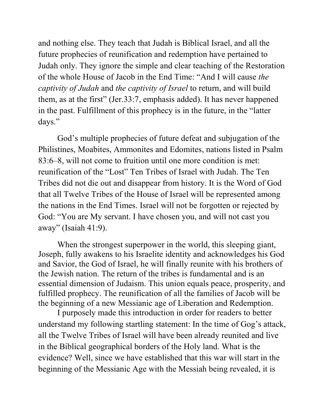and nothing else. They teach that Judah is Biblical Israel, and all the future prophecies of reunification and redemption have pertained to Judah only. They ignore the simple and clear teaching of the Restoration of the whole House of Jacob in the End Time: "And I will cause *the captivity of Judah* and *the captivity of Israel* to return, and will build them, as at the first" (Jer.  $33:7$ , emphasis added). It has never happened in the past. Fulfillment of this prophecy is in the future, in the "latter" days."

God's multiple prophecies of future defeat and subjugation of the Philistines, Moabites, Ammonites and Edomites, nations listed in Psalm 83:6–8, will not come to fruition until one more condition is met: reunification of the "Lost" Ten Tribes of Israel with Judah. The Ten Tribes did not die out and disappear from history. It is the Word of God that all Twelve Tribes of the House of Israel will be represented among the nations in the End Times. Israel will not be forgotten or rejected by God: "You are My servant. I have chosen you, and will not cast you away" (Isaiah  $41:9$ ).

When the strongest superpower in the world, this sleeping giant, Joseph, fully awakens to his Israelite identity and acknowledges his God and Savior, the God of Israel, he will finally reunite with his brothers of the Jewish nation. The return of the tribes is fundamental and is an essential dimension of Judaism. This union equals peace, prosperity, and fulfilled prophecy. The reunification of all the families of Jacob will be the beginning of a new Messianic age of Liberation and Redemption.

I purposely made this introduction in order for readers to better understand my following startling statement: In the time of Gog's attack, all the Twelve Tribes of Israel will have been already reunited and live in the Biblical geographical borders of the Holy land. What is the evidence? Well, since we have established that this war will start in the beginning of the Messianic Age with the Messiah being revealed, it is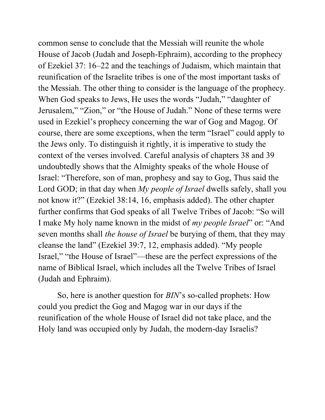common sense to conclude that the Messiah will reunite the whole House of Jacob (Judah and Joseph-Ephraim), according to the prophecy of Ezekiel 37: 16–22 and the teachings of Judaism, which maintain that reunification of the Israelite tribes is one of the most important tasks of the Messiah. The other thing to consider is the language of the prophecy. When God speaks to Jews, He uses the words "Judah," "daughter of Jerusalem," "Zion," or "the House of Judah." None of these terms were used in Ezekiel's prophecy concerning the war of Gog and Magog. Of course, there are some exceptions, when the term "Israel" could apply to the Jews only. To distinguish it rightly, it is imperative to study the context of the verses involved. Careful analysis of chapters 38 and 39 undoubtedly shows that the Almighty speaks of the whole House of Israel: "Therefore, son of man, prophesy and say to Gog, Thus said the Lord GOD; in that day when *My people of Israel* dwells safely, shall you not know it?" (Ezekiel 38:14, 16, emphasis added). The other chapter further confirms that God speaks of all Twelve Tribes of Jacob: "So will I make My holy name known in the midst of *my people Israel*" or: "And seven months shall *the house of Israel* be burying of them, that they may cleanse the land" (Ezekiel 39:7, 12, emphasis added). "My people Israel," "the House of Israel"—these are the perfect expressions of the name of Biblical Israel, which includes all the Twelve Tribes of Israel (Judah and Ephraim).

So, here is another question for *BIN*'s so-called prophets: How could you predict the Gog and Magog war in our days if the reunification of the whole House of Israel did not take place, and the Holy land was occupied only by Judah, the modern-day Israelis?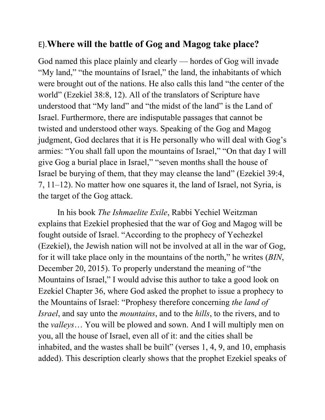#### E).**Where will the battle of Gog and Magog take place?**

God named this place plainly and clearly — hordes of Gog will invade "My land," "the mountains of Israel," the land, the inhabitants of which were brought out of the nations. He also calls this land "the center of the world" (Ezekiel 38:8, 12). All of the translators of Scripture have understood that "My land" and "the midst of the land" is the Land of Israel. Furthermore, there are indisputable passages that cannot be twisted and understood other ways. Speaking of the Gog and Magog judgment, God declares that it is He personally who will deal with Gog's armies: "You shall fall upon the mountains of Israel," "On that day I will give Gog a burial place in Israel," "seven months shall the house of Israel be burying of them, that they may cleanse the land" (Ezekiel 39:4, 7, 11–12). No matter how one squares it, the land of Israel, not Syria, is the target of the Gog attack.

In his book *The Ishmaelite Exile*, Rabbi Yechiel Weitzman explains that Ezekiel prophesied that the war of Gog and Magog will be fought outside of Israel. "According to the prophecy of Yechezkel (Ezekiel), the Jewish nation will not be involved at all in the war of Gog, for it will take place only in the mountains of the north," he writes (*BIN*, December 20, 2015). To properly understand the meaning of "the Mountains of Israel," I would advise this author to take a good look on Ezekiel Chapter 36, where God asked the prophet to issue a prophecy to the Mountains of Israel: "Prophesy therefore concerning *the land of Israel*, and say unto the *mountains*, and to the *hills*, to the rivers, and to the *valleys*… You will be plowed and sown. And I will multiply men on you, all the house of Israel, even all of it: and the cities shall be inhabited, and the wastes shall be built" (verses  $1, 4, 9$ , and  $10$ , emphasis added). This description clearly shows that the prophet Ezekiel speaks of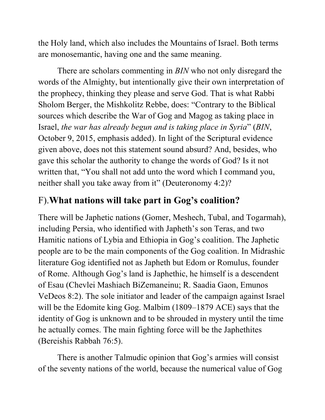the Holy land, which also includes the Mountains of Israel. Both terms are monosemantic, having one and the same meaning.

There are scholars commenting in *BIN* who not only disregard the words of the Almighty, but intentionally give their own interpretation of the prophecy, thinking they please and serve God. That is what Rabbi Sholom Berger, the Mishkolitz Rebbe, does: "Contrary to the Biblical sources which describe the War of Gog and Magog as taking place in Israel, *the war has already begun and is taking place in Syria*‖ (*BIN*, October 9, 2015, emphasis added). In light of the Scriptural evidence given above, does not this statement sound absurd? And, besides, who gave this scholar the authority to change the words of God? Is it not written that, "You shall not add unto the word which I command you, neither shall you take away from it" (Deuteronomy 4:2)?

#### F).**What nations will take part in Gog's coalition?**

There will be Japhetic nations (Gomer, Meshech, Tubal, and Togarmah), including Persia, who identified with Japheth's son Teras, and two Hamitic nations of Lybia and Ethiopia in Gog's coalition. The Japhetic people are to be the main components of the Gog coalition. In Midrashic literature Gog identified not as Japheth but Edom or Romulus, founder of Rome. Although Gog's land is Japhethic, he himself is a descendent of Esau (Chevlei Mashiach BiZemaneinu; R. Saadia Gaon, Emunos VeDeos 8:2). The sole initiator and leader of the campaign against Israel will be the Edomite king Gog. Malbim (1809–1879 ACE) says that the identity of Gog is unknown and to be shrouded in mystery until the time he actually comes. The main fighting force will be the Japhethites (Bereishis Rabbah 76:5).

There is another Talmudic opinion that Gog's armies will consist of the seventy nations of the world, because the numerical value of Gog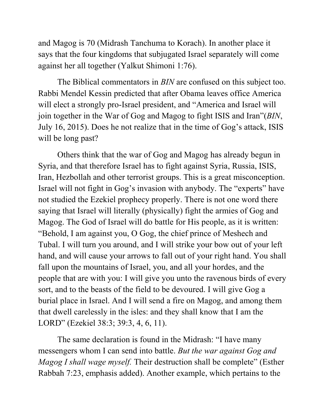and Magog is 70 (Midrash Tanchuma to Korach). In another place it says that the four kingdoms that subjugated Israel separately will come against her all together (Yalkut Shimoni 1:76).

The Biblical commentators in *BIN* are confused on this subject too. [Rabbi Mendel Kessin predicted](http://torahthinking.com/1057/r-mendel-kessin-footsteps-of-mashiach-4182015/) that after Obama leaves office America will elect a strongly pro-Israel president, and "America and Israel will join together in the War of Gog and Magog to fight ISIS and Iran"(*BIN*, [July 16, 2015\). D](http://www.breakingisraelnews.com/45260/iran-nuclear-deal-signal-start-gog-magog-jewish-world/)oes he not realize that in the time of Gog's attack, ISIS will be long past?

Others think that the war of Gog and Magog has already begun in Syria, and that therefore Israel has to fight against Syria, Russia, ISIS, Iran, Hezbollah and other terrorist groups. This is a great misconception. Israel will not fight in Gog's invasion with anybody. The "experts" have not studied the Ezekiel prophecy properly. There is not one word there saying that Israel will literally (physically) fight the armies of Gog and Magog. The God of Israel will do battle for His people, as it is written: ―Behold, I am against you, O Gog, the chief prince of Meshech and Tubal. I will turn you around, and I will strike your bow out of your left hand, and will cause your arrows to fall out of your right hand. You shall fall upon the mountains of Israel, you, and all your hordes, and the people that are with you: I will give you unto the ravenous birds of every sort, and to the beasts of the field to be devoured. I will give Gog a burial place in Israel. And I will send a fire on Magog, and among them that dwell carelessly in the isles: and they shall know that I am the LORD" (Ezekiel 38:3; 39:3, 4, 6, 11).

The same declaration is found in the Midrash: "I have many messengers whom I can send into battle. *But the war against Gog and Magog I shall wage myself.* Their destruction shall be complete" (Esther Rabbah 7:23, emphasis added). Another example, which pertains to the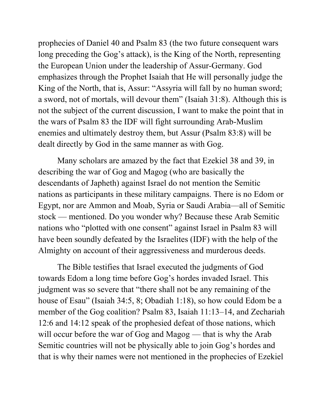prophecies of Daniel 40 and Psalm 83 (the two future consequent wars long preceding the Gog's attack), is the King of the North, representing the European Union under the leadership of Assur-Germany. God emphasizes through the Prophet Isaiah that He will personally judge the King of the North, that is, Assur: "Assyria will fall by no human sword; a sword, not of mortals, will devour them" (Isaiah  $31:8$ ). Although this is not the subject of the current discussion, I want to make the point that in the wars of Psalm 83 the IDF will fight surrounding Arab-Muslim enemies and ultimately destroy them, but Assur (Psalm 83:8) will be dealt directly by God in the same manner as with Gog.

Many scholars are amazed by the fact that Ezekiel 38 and 39, in describing the war of Gog and Magog (who are basically the descendants of Japheth) against Israel do not mention the Semitic nations as participants in these military campaigns. There is no Edom or Egypt, nor are Ammon and Moab, Syria or Saudi Arabia—all of Semitic stock — mentioned. Do you wonder why? Because these Arab Semitic nations who "plotted with one consent" against Israel in Psalm 83 will have been soundly defeated by the Israelites (IDF) with the help of the Almighty on account of their aggressiveness and murderous deeds.

The Bible testifies that Israel executed the judgments of God towards Edom a long time before Gog's hordes invaded Israel. This judgment was so severe that "there shall not be any remaining of the house of Esau" (Isaiah 34:5, 8; Obadiah 1:18), so how could Edom be a member of the Gog coalition? Psalm 83, Isaiah 11:13–14, and Zechariah 12:6 and 14:12 speak of the prophesied defeat of those nations, which will occur before the war of Gog and Magog — that is why the Arab Semitic countries will not be physically able to join Gog's hordes and that is why their names were not mentioned in the prophecies of Ezekiel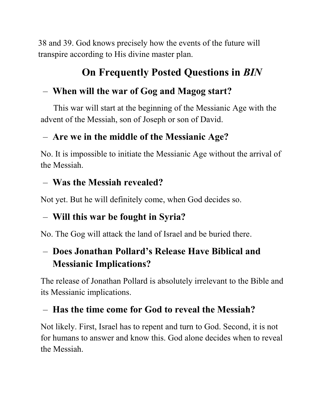38 and 39. God knows precisely how the events of the future will transpire according to His divine master plan.

# **On Frequently Posted Questions in** *BIN*

# – **When will the war of Gog and Magog start?**

 This war will start at the beginning of the Messianic Age with the advent of the Messiah, son of Joseph or son of David.

# – **Are we in the middle of the Messianic Age?**

No. It is impossible to initiate the Messianic Age without the arrival of the Messiah.

## – **Was the Messiah revealed?**

Not yet. But he will definitely come, when God decides so.

# – **Will this war be fought in Syria?**

No. The Gog will attack the land of Israel and be buried there.

# – **Does Jonathan Pollard's Release Have Biblical and Messianic Implications?**

The release of Jonathan Pollard is absolutely irrelevant to the Bible and its Messianic implications.

# – **Has the time come for God to reveal the Messiah?**

Not likely. First, Israel has to repent and turn to God. Second, it is not for humans to answer and know this. God alone decides when to reveal the Messiah.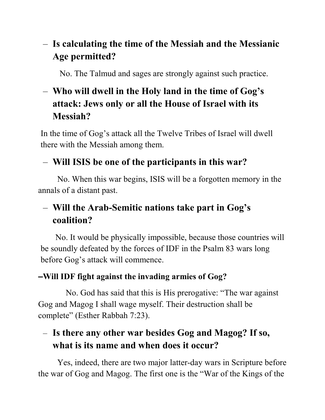# – **Is calculating the time of the Messiah and the Messianic Age permitted?**

No. The Talmud and sages are strongly against such practice.

# – **Who will dwell in the Holy land in the time of Gog's attack: Jews only or all the House of Israel with its Messiah?**

In the time of Gog's attack all the Twelve Tribes of Israel will dwell there with the Messiah among them.

#### – **Will ISIS be one of the participants in this war?**

No. When this war begins, ISIS will be a forgotten memory in the annals of a distant past.

# – **Will the Arab-Semitic nations take part in Gog's coalition?**

 No. It would be physically impossible, because those countries will be soundly defeated by the forces of IDF in the Psalm 83 wars long before Gog's attack will commence.

#### **–Will IDF fight against the invading armies of Gog?**

No. God has said that this is His prerogative: "The war against Gog and Magog I shall wage myself. Their destruction shall be complete" (Esther Rabbah 7:23).

# – **Is there any other war besides Gog and Magog? If so, what is its name and when does it occur?**

Yes, indeed, there are two major latter-day wars in Scripture before the war of Gog and Magog. The first one is the "War of the Kings of the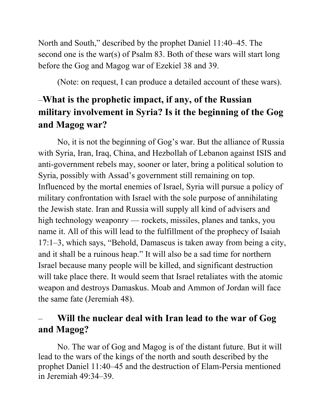North and South," described by the prophet Daniel 11:40–45. The second one is the war(s) of Psalm 83. Both of these wars will start long before the Gog and Magog war of Ezekiel 38 and 39.

(Note: on request, I can produce a detailed account of these wars).

# –**What is the prophetic impact, if any, of the Russian military involvement in Syria? Is it the beginning of the Gog and Magog war?**

No, it is not the beginning of Gog's war. But the alliance of Russia with Syria, Iran, Iraq, China, and Hezbollah of Lebanon against ISIS and anti-government rebels may, sooner or later, bring a political solution to Syria, possibly with Assad's government still remaining on top. Influenced by the mortal enemies of Israel, Syria will pursue a policy of military confrontation with Israel with the sole purpose of annihilating the Jewish state. Iran and Russia will supply all kind of advisers and high technology weaponry — rockets, missiles, planes and tanks, you name it. All of this will lead to the fulfillment of the prophecy of Isaiah 17:1–3, which says, "Behold, Damascus is taken away from being a city, and it shall be a ruinous heap." It will also be a sad time for northern Israel because many people will be killed, and significant destruction will take place there. It would seem that Israel retaliates with the atomic weapon and destroys Damaskus. Moab and Ammon of Jordan will face the same fate (Jeremiah 48).

#### – **Will the nuclear deal with Iran lead to the war of Gog and Magog?**

No. The war of Gog and Magog is of the distant future. But it will lead to the wars of the kings of the north and south described by the prophet Daniel 11:40–45 and the destruction of Elam-Persia mentioned in Jeremiah 49:34–39.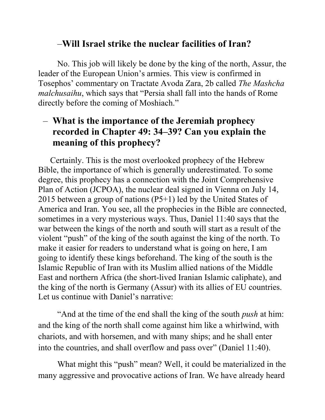#### –**Will Israel strike the nuclear facilities of Iran?**

No. This job will likely be done by the king of the north, Assur, the leader of the European Union's armies. This view is confirmed in Tosephos' commentary on Tractate Avoda Zara, 2b called *The Mashcha malchusaihu*, which says that "Persia shall fall into the hands of Rome" directly before the coming of Moshiach."

#### – **What is the importance of the Jeremiah prophecy recorded in Chapter 49: 34–39? Can you explain the meaning of this prophecy?**

Certainly. This is the most overlooked prophecy of the Hebrew Bible, the importance of which is generally underestimated. To some degree, this prophecy has a connection with the Joint Comprehensive Plan of Action (JCPOA), the nuclear deal signed in Vienna on July 14, 2015 between a group of nations (P5+1) led by the United States of America and Iran. You see, all the prophecies in the Bible are connected, sometimes in a very mysterious ways. Thus, Daniel 11:40 says that the war between the kings of the north and south will start as a result of the violent "push" of the king of the south against the king of the north. To make it easier for readers to understand what is going on here, I am going to identify these kings beforehand. The king of the south is the Islamic Republic of Iran with its Muslim allied nations of the Middle East and northern Africa (the short-lived Iranian Islamic caliphate), and the king of the north is Germany (Assur) with its allies of EU countries. Let us continue with Daniel's narrative:

―And at the time of the end shall the king of the south *push* at him: and the king of the north shall come against him like a whirlwind, with chariots, and with horsemen, and with many ships; and he shall enter into the countries, and shall overflow and pass over" (Daniel  $11:40$ ).

What might this "push" mean? Well, it could be materialized in the many aggressive and provocative actions of Iran. We have already heard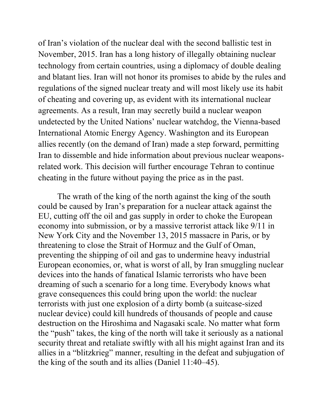of Iran's violation of the nuclear deal with the second ballistic test in November, 2015. Iran has a long history of illegally obtaining nuclear technology from certain countries, using a diplomacy of double dealing and blatant lies. Iran will not honor its promises to abide by the rules and regulations of the signed nuclear treaty and will most likely use its habit of cheating and covering up, as evident with its international nuclear agreements. As a result, Iran may secretly build a nuclear weapon undetected by the United Nations' nuclear watchdog, the Vienna-based International Atomic Energy Agency. Washington and its European allies recently (on the demand of Iran) made a step forward, permitting Iran to dissemble and hide information about previous nuclear weaponsrelated work. This decision will further encourage Tehran to continue cheating in the future without paying the price as in the past.

The wrath of the king of the north against the king of the south could be caused by Iran's preparation for a nuclear attack against the EU, cutting off the oil and gas supply in order to choke the European economy into submission, or by a massive terrorist attack like 9/11 in New York City and the November 13, 2015 massacre in Paris, or by threatening to close the Strait of Hormuz and the Gulf of Oman, preventing the shipping of oil and gas to undermine heavy industrial European economies, or, what is worst of all, by Iran smuggling nuclear devices into the hands of fanatical Islamic terrorists who have been dreaming of such a scenario for a long time. Everybody knows what grave consequences this could bring upon the world: the nuclear terrorists with just one explosion of a dirty bomb (a suitcase-sized nuclear device) could kill hundreds of thousands of people and cause destruction on the Hiroshima and Nagasaki scale. No matter what form the "push" takes, the king of the north will take it seriously as a national security threat and retaliate swiftly with all his might against Iran and its allies in a "blitzkrieg" manner, resulting in the defeat and subjugation of the king of the south and its allies (Daniel 11:40–45).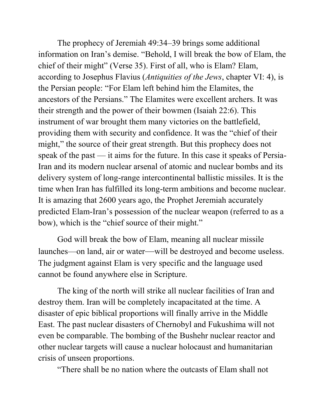The prophecy of Jeremiah 49:34–39 brings some additional information on Iran's demise. "Behold, I will break the bow of Elam, the chief of their might" (Verse 35). First of all, who is Elam? Elam, according to Josephus Flavius (*Antiquities of the Jews*, chapter VI: 4), is the Persian people: "For Elam left behind him the Elamites, the ancestors of the Persians." The Elamites were excellent archers. It was their strength and the power of their bowmen (Isaiah 22:6). This instrument of war brought them many victories on the battlefield, providing them with security and confidence. It was the "chief of their might," the source of their great strength. But this prophecy does not speak of the past — it aims for the future. In this case it speaks of Persia-Iran and its modern nuclear arsenal of atomic and nuclear bombs and its delivery system of long-range intercontinental ballistic missiles. It is the time when Iran has fulfilled its long-term ambitions and become nuclear. It is amazing that 2600 years ago, the Prophet Jeremiah accurately predicted Elam-Iran's possession of the nuclear weapon (referred to as a bow), which is the "chief source of their might."

God will break the bow of Elam, meaning all nuclear missile launches—on land, air or water—will be destroyed and become useless. The judgment against Elam is very specific and the language used cannot be found anywhere else in Scripture.

The king of the north will strike all nuclear facilities of Iran and destroy them. Iran will be completely incapacitated at the time. A disaster of epic biblical proportions will finally arrive in the Middle East. The past nuclear disasters of Chernobyl and Fukushima will not even be comparable. The bombing of the Bushehr nuclear reactor and other nuclear targets will cause a nuclear holocaust and humanitarian crisis of unseen proportions.

―There shall be no nation where the outcasts of Elam shall not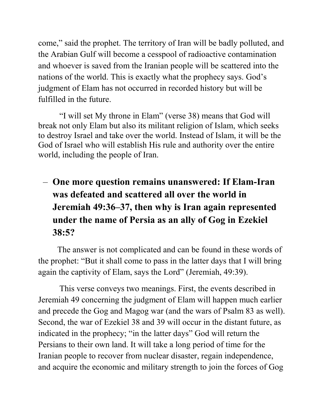come," said the prophet. The territory of Iran will be badly polluted, and the Arabian Gulf will become a cesspool of radioactive contamination and whoever is saved from the Iranian people will be scattered into the nations of the world. This is exactly what the prophecy says. God's judgment of Elam has not occurred in recorded history but will be fulfilled in the future.

"I will set My throne in Elam" (verse 38) means that God will break not only Elam but also its militant religion of Islam, which seeks to destroy Israel and take over the world. Instead of Islam, it will be the God of Israel who will establish His rule and authority over the entire world, including the people of Iran.

– **One more question remains unanswered: If Elam-Iran was defeated and scattered all over the world in Jeremiah 49:36–37, then why is Iran again represented under the name of Persia as an ally of Gog in Ezekiel 38:5?** 

The answer is not complicated and can be found in these words of the prophet: "But it shall come to pass in the latter days that I will bring again the captivity of Elam, says the Lord" (Jeremiah, 49:39).

This verse conveys two meanings. First, the events described in Jeremiah 49 concerning the judgment of Elam will happen much earlier and precede the Gog and Magog war (and the wars of Psalm 83 as well). Second, the war of Ezekiel 38 and 39 will occur in the distant future, as indicated in the prophecy; "in the latter days" God will return the Persians to their own land. It will take a long period of time for the Iranian people to recover from nuclear disaster, regain independence, and acquire the economic and military strength to join the forces of Gog